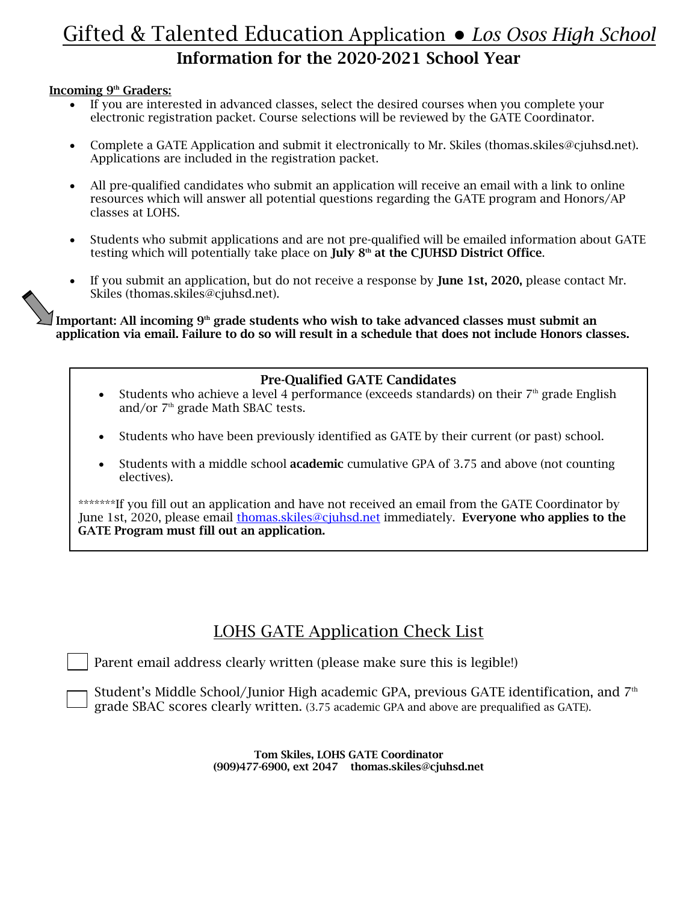# Gifted & Talented Education Application ● *Los Osos High School* Information for the 2020-2021 School Year

#### Incoming 9<sup>th</sup> Graders:

- If you are interested in advanced classes, select the desired courses when you complete your electronic registration packet. Course selections will be reviewed by the GATE Coordinator.
- Complete a GATE Application and submit it electronically to Mr. Skiles (thomas.skiles@cjuhsd.net). Applications are included in the registration packet.
- All pre-qualified candidates who submit an application will receive an email with a link to online resources which will answer all potential questions regarding the GATE program and Honors/AP classes at LOHS.
- Students who submit applications and are not pre-qualified will be emailed information about GATE testing which will potentially take place on  $\text{July } 8^{\text{th}}$  at the CJUHSD District Office.
- If you submit an application, but do not receive a response by **June 1st, 2020,** please contact Mr. Skiles (thomas.skiles@cjuhsd.net).

Important: All incoming  $9<sup>th</sup>$  grade students who wish to take advanced classes must submit an application via email. Failure to do so will result in a schedule that does not include Honors classes.

#### Pre-Qualified GATE Candidates

- Students who achieve a level 4 performance (exceeds standards) on their  $7<sup>th</sup>$  grade English and/or  $7<sup>th</sup>$  grade Math SBAC tests.
- Students who have been previously identified as GATE by their current (or past) school.
- Students with a middle school academic cumulative GPA of 3.75 and above (not counting electives).

\*\*\*\*\*\*\*If you fill out an application and have not received an email from the GATE Coordinator by June 1st, 2020, please email thomas.skiles@cjuhsd.net immediately. Everyone who applies to the GATE Program must fill out an application.

### LOHS GATE Application Check List

Parent email address clearly written (please make sure this is legible!)

Student's Middle School/Junior High academic GPA, previous GATE identification, and 7<sup>th</sup> grade SBAC scores clearly written. (3.75 academic GPA and above are prequalified as GATE).

> Tom Skiles, LOHS GATE Coordinator (909)477-6900, ext 2047 thomas.skiles@cjuhsd.net